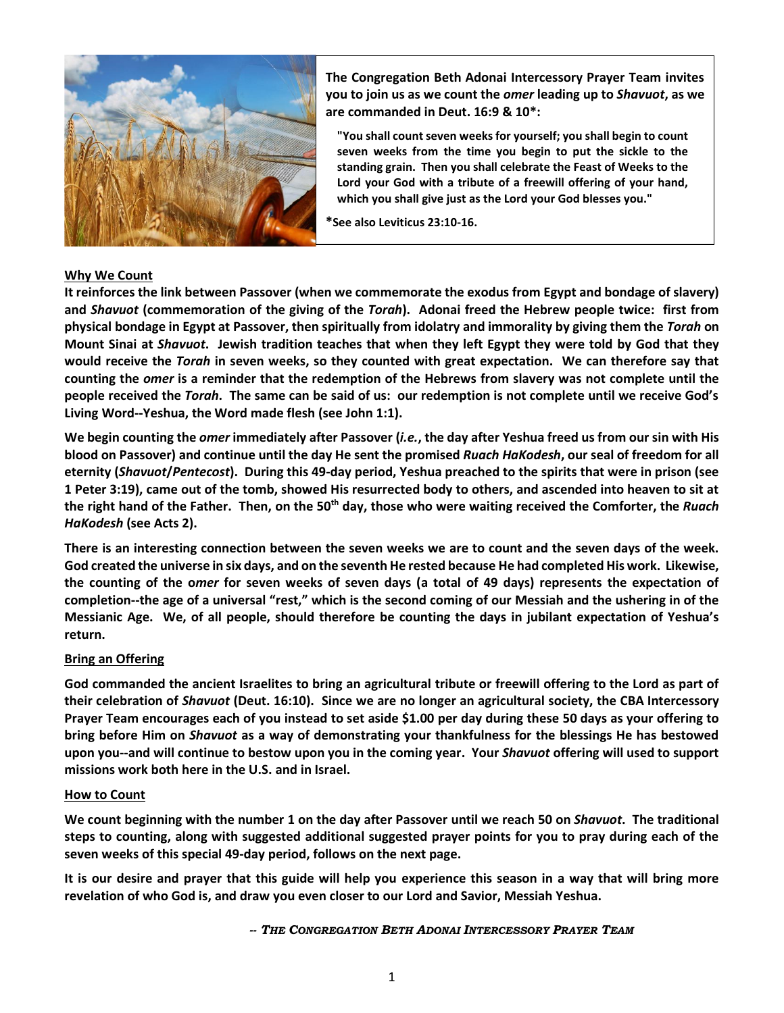

**The Congregation Beth Adonai Intercessory Prayer Team invites you to join us as we count the** *omer* **leading up to** *Shavuot***, as we are commanded in Deut. 16:9 & 10\*:**

**"You shall count seven weeks for yourself; you shall begin to count seven weeks from the time you begin to put the sickle to the standing grain. Then you shall celebrate the Feast of Weeks to the Lord your God with a tribute of a freewill offering of your hand, which you shall give just as the Lord your God blesses you."**

**\*See also Leviticus 23:10-16.**

# **Why We Count**

**It reinforces the link between Passover (when we commemorate the exodus from Egypt and bondage of slavery) and** *Shavuot* **(commemoration of the giving of the** *Torah***). Adonai freed the Hebrew people twice: first from physical bondage in Egypt at Passover, then spiritually from idolatry and immorality by giving them the** *Torah* **on Mount Sinai at** *Shavuot***. Jewish tradition teaches that when they left Egypt they were told by God that they would receive the** *Torah* **in seven weeks, so they counted with great expectation. We can therefore say that counting the** *omer* **is a reminder that the redemption of the Hebrews from slavery was not complete until the people received the** *Torah***. The same can be said of us: our redemption is not complete until we receive God's Living Word--Yeshua, the Word made flesh (see John 1:1).**

**We begin counting the** *omer* **immediately after Passover (***i.e.***, the day after Yeshua freed us from our sin with His blood on Passover) and continue until the day He sent the promised** *Ruach HaKodesh***, our seal of freedom for all eternity (***Shavuot***/***Pentecost***). During this 49-day period, Yeshua preached to the spirits that were in prison (see 1 Peter 3:19), came out of the tomb, showed His resurrected body to others, and ascended into heaven to sit at the right hand of the Father. Then, on the 50th day, those who were waiting received the Comforter, the** *Ruach HaKodesh* **(see Acts 2).**

**There is an interesting connection between the seven weeks we are to count and the seven days of the week. God created the universe in six days, and on the seventh He rested because He had completed His work. Likewise, the counting of the o***mer* **for seven weeks of seven days (a total of 49 days) represents the expectation of completion--the age of a universal "rest," which is the second coming of our Messiah and the ushering in of the Messianic Age. We, of all people, should therefore be counting the days in jubilant expectation of Yeshua's return.**

# **Bring an Offering**

**God commanded the ancient Israelites to bring an agricultural tribute or freewill offering to the Lord as part of their celebration of** *Shavuot* **(Deut. 16:10). Since we are no longer an agricultural society, the CBA Intercessory Prayer Team encourages each of you instead to set aside \$1.00 per day during these 50 days as your offering to bring before Him on** *Shavuot* **as a way of demonstrating your thankfulness for the blessings He has bestowed upon you--and will continue to bestow upon you in the coming year. Your** *Shavuot* **offering will used to support missions work both here in the U.S. and in Israel.**

#### **How to Count**

**We count beginning with the number 1 on the day after Passover until we reach 50 on** *Shavuot***. The traditional steps to counting, along with suggested additional suggested prayer points for you to pray during each of the seven weeks of this special 49-day period, follows on the next page.**

**It is our desire and prayer that this guide will help you experience this season in a way that will bring more revelation of who God is, and draw you even closer to our Lord and Savior, Messiah Yeshua.**

*-- THE CONGREGATION BETH ADONAI INTERCESSORY PRAYER TEAM*